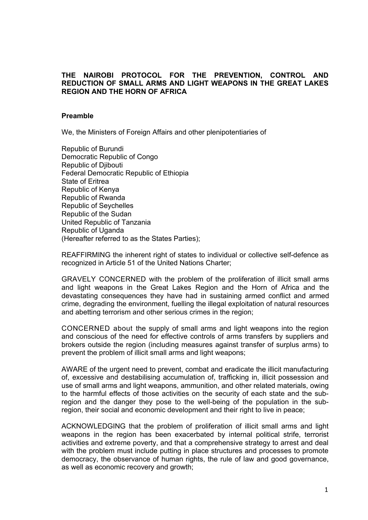### **THE NAIROBI PROTOCOL FOR THE PREVENTION, CONTROL AND REDUCTION OF SMALL ARMS AND LIGHT WEAPONS IN THE GREAT LAKES REGION AND THE HORN OF AFRICA**

### **Preamble**

We, the Ministers of Foreign Affairs and other plenipotentiaries of

Republic of Burundi Democratic Republic of Congo Republic of Djibouti Federal Democratic Republic of Ethiopia State of Eritrea Republic of Kenya Republic of Rwanda Republic of Seychelles Republic of the Sudan United Republic of Tanzania Republic of Uganda (Hereafter referred to as the States Parties);

REAFFIRMING the inherent right of states to individual or collective self-defence as recognized in Article 51 of the United Nations Charter;

GRAVELY CONCERNED with the problem of the proliferation of illicit small arms and light weapons in the Great Lakes Region and the Horn of Africa and the devastating consequences they have had in sustaining armed conflict and armed crime, degrading the environment, fuelling the illegal exploitation of natural resources and abetting terrorism and other serious crimes in the region;

CONCERNED about the supply of small arms and light weapons into the region and conscious of the need for effective controls of arms transfers by suppliers and brokers outside the region (including measures against transfer of surplus arms) to prevent the problem of illicit small arms and light weapons;

AWARE of the urgent need to prevent, combat and eradicate the illicit manufacturing of, excessive and destabilising accumulation of, trafficking in, illicit possession and use of small arms and light weapons, ammunition, and other related materials, owing to the harmful effects of those activities on the security of each state and the subregion and the danger they pose to the well-being of the population in the subregion, their social and economic development and their right to live in peace;

ACKNOWLEDGING that the problem of proliferation of illicit small arms and light weapons in the region has been exacerbated by internal political strife, terrorist activities and extreme poverty, and that a comprehensive strategy to arrest and deal with the problem must include putting in place structures and processes to promote democracy, the observance of human rights, the rule of law and good governance, as well as economic recovery and growth;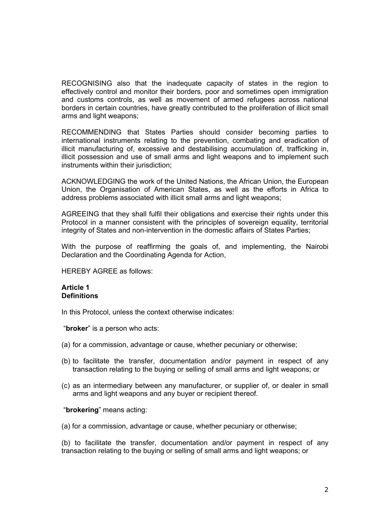RECOGNISING also that the inadequate capacity of states in the region to effectively control and monitor their borders, poor and sometimes open immigration and customs controls, as well as movement of armed refugees across national borders in certain countries, have greatly contributed to the proliferation of illicit small arms and light weapons;

RECOMMENDING that States Parties should consider becoming parties to international instruments relating to the prevention, combating and eradication of illicit manufacturing of, excessive and destabilising accumulation of, trafficking in, illicit possession and use of small arms and light weapons and to implement such instruments within their jurisdiction;

ACKNOWLEDGING the work of the United Nations, the African Union, the European Union, the Organisation of American States, as well as the efforts in Africa to address problems associated with illicit small arms and light weapons;

AGREEING that they shall fulfil their obligations and exercise their rights under this Protocol in a manner consistent with the principles of sovereign equality, territorial integrity of States and non-intervention in the domestic affairs of States Parties;

With the purpose of reaffirming the goals of, and implementing, the Nairobi Declaration and the Coordinating Agenda for Action,

HEREBY AGREE as follows:

### **Article 1 Definitions**

In this Protocol, unless the context otherwise indicates:

"**broker**" is a person who acts:

- (a) for a commission, advantage or cause, whether pecuniary or otherwise;
- (b) to facilitate the transfer, documentation and/or payment in respect of any transaction relating to the buying or selling of small arms and light weapons; or
- (c) as an intermediary between any manufacturer, or supplier of, or dealer in small arms and light weapons and any buyer or recipient thereof.

#### "**brokering**" means acting:

(a) for a commission, advantage or cause, whether pecuniary or otherwise;

(b) to facilitate the transfer, documentation and/or payment in respect of any transaction relating to the buying or selling of small arms and light weapons; or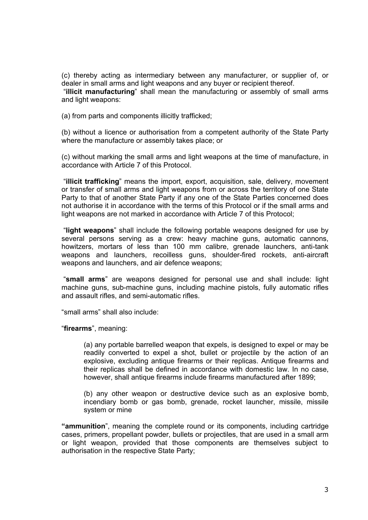(c) thereby acting as intermediary between any manufacturer, or supplier of, or dealer in small arms and light weapons and any buyer or recipient thereof.

 "**illicit manufacturing**" shall mean the manufacturing or assembly of small arms and light weapons:

(a) from parts and components illicitly trafficked;

(b) without a licence or authorisation from a competent authority of the State Party where the manufacture or assembly takes place; or

(c) without marking the small arms and light weapons at the time of manufacture, in accordance with Article 7 of this Protocol.

 "**illicit trafficking**" means the import, export, acquisition, sale, delivery, movement or transfer of small arms and light weapons from or across the territory of one State Party to that of another State Party if any one of the State Parties concerned does not authorise it in accordance with the terms of this Protocol or if the small arms and light weapons are not marked in accordance with Article 7 of this Protocol;

 "**light weapons**" shall include the following portable weapons designed for use by several persons serving as a crew: heavy machine guns, automatic cannons, howitzers, mortars of less than 100 mm calibre, grenade launchers, anti-tank weapons and launchers, recoilless guns, shoulder-fired rockets, anti-aircraft weapons and launchers, and air defence weapons;

 "**small arms**" are weapons designed for personal use and shall include: light machine guns, sub-machine guns, including machine pistols, fully automatic rifles and assault rifles, and semi-automatic rifles.

"small arms" shall also include:

"**firearms**", meaning:

(a) any portable barrelled weapon that expels, is designed to expel or may be readily converted to expel a shot, bullet or projectile by the action of an explosive, excluding antique firearms or their replicas. Antique firearms and their replicas shall be defined in accordance with domestic law. In no case, however, shall antique firearms include firearms manufactured after 1899;

(b) any other weapon or destructive device such as an explosive bomb, incendiary bomb or gas bomb, grenade, rocket launcher, missile, missile system or mine

**"ammunition**", meaning the complete round or its components, including cartridge cases, primers, propellant powder, bullets or projectiles, that are used in a small arm or light weapon, provided that those components are themselves subject to authorisation in the respective State Party;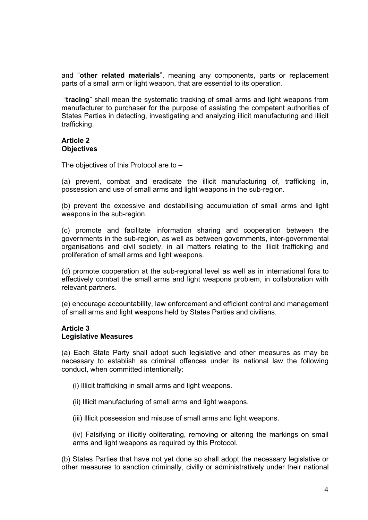and "**other related materials**", meaning any components, parts or replacement parts of a small arm or light weapon, that are essential to its operation.

 "**tracing**" shall mean the systematic tracking of small arms and light weapons from manufacturer to purchaser for the purpose of assisting the competent authorities of States Parties in detecting, investigating and analyzing illicit manufacturing and illicit trafficking.

# **Article 2 Objectives**

The objectives of this Protocol are to –

(a) prevent, combat and eradicate the illicit manufacturing of, trafficking in, possession and use of small arms and light weapons in the sub-region.

(b) prevent the excessive and destabilising accumulation of small arms and light weapons in the sub-region.

(c) promote and facilitate information sharing and cooperation between the governments in the sub-region, as well as between governments, inter-governmental organisations and civil society, in all matters relating to the illicit trafficking and proliferation of small arms and light weapons.

(d) promote cooperation at the sub-regional level as well as in international fora to effectively combat the small arms and light weapons problem, in collaboration with relevant partners.

(e) encourage accountability, law enforcement and efficient control and management of small arms and light weapons held by States Parties and civilians.

## **Article 3 Legislative Measures**

(a) Each State Party shall adopt such legislative and other measures as may be necessary to establish as criminal offences under its national law the following conduct, when committed intentionally:

- (i) Illicit trafficking in small arms and light weapons.
- (ii) Illicit manufacturing of small arms and light weapons.
- (iii) Illicit possession and misuse of small arms and light weapons.

(iv) Falsifying or illicitly obliterating, removing or altering the markings on small arms and light weapons as required by this Protocol.

(b) States Parties that have not yet done so shall adopt the necessary legislative or other measures to sanction criminally, civilly or administratively under their national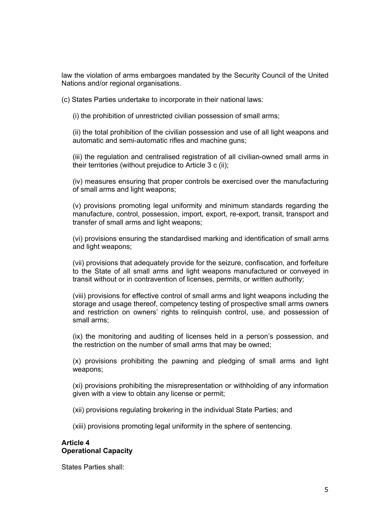law the violation of arms embargoes mandated by the Security Council of the United Nations and/or regional organisations.

(c) States Parties undertake to incorporate in their national laws:

(i) the prohibition of unrestricted civilian possession of small arms;

(ii) the total prohibition of the civilian possession and use of all light weapons and automatic and semi-automatic rifles and machine guns;

(iii) the regulation and centralised registration of all civilian-owned small arms in their territories (without prejudice to Article 3 c (ii);

(iv) measures ensuring that proper controls be exercised over the manufacturing of small arms and light weapons;

(v) provisions promoting legal uniformity and minimum standards regarding the manufacture, control, possession, import, export, re-export, transit, transport and transfer of small arms and light weapons;

(vi) provisions ensuring the standardised marking and identification of small arms and light weapons;

(vii) provisions that adequately provide for the seizure, confiscation, and forfeiture to the State of all small arms and light weapons manufactured or conveyed in transit without or in contravention of licenses, permits, or written authority;

(viii) provisions for effective control of small arms and light weapons including the storage and usage thereof, competency testing of prospective small arms owners and restriction on owners' rights to relinquish control, use, and possession of small arms;

(ix) the monitoring and auditing of licenses held in a person's possession, and the restriction on the number of small arms that may be owned;

(x) provisions prohibiting the pawning and pledging of small arms and light weapons;

(xi) provisions prohibiting the misrepresentation or withholding of any information given with a view to obtain any license or permit;

(xii) provisions regulating brokering in the individual State Parties; and

(xiii) provisions promoting legal uniformity in the sphere of sentencing.

### **Article 4 Operational Capacity**

States Parties shall: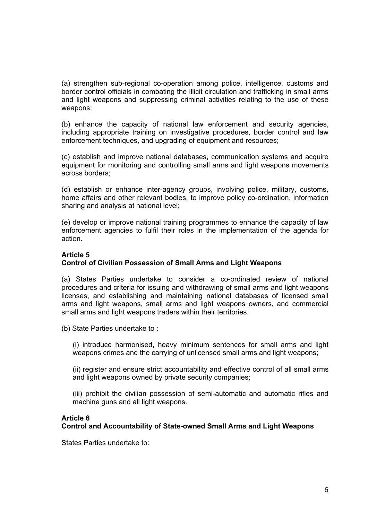(a) strengthen sub-regional co-operation among police, intelligence, customs and border control officials in combating the illicit circulation and trafficking in small arms and light weapons and suppressing criminal activities relating to the use of these weapons;

(b) enhance the capacity of national law enforcement and security agencies, including appropriate training on investigative procedures, border control and law enforcement techniques, and upgrading of equipment and resources;

(c) establish and improve national databases, communication systems and acquire equipment for monitoring and controlling small arms and light weapons movements across borders;

(d) establish or enhance inter-agency groups, involving police, military, customs, home affairs and other relevant bodies, to improve policy co-ordination, information sharing and analysis at national level;

(e) develop or improve national training programmes to enhance the capacity of law enforcement agencies to fulfil their roles in the implementation of the agenda for action.

## **Article 5**

# **Control of Civilian Possession of Small Arms and Light Weapons**

(a) States Parties undertake to consider a co-ordinated review of national procedures and criteria for issuing and withdrawing of small arms and light weapons licenses, and establishing and maintaining national databases of licensed small arms and light weapons, small arms and light weapons owners, and commercial small arms and light weapons traders within their territories.

(b) State Parties undertake to :

(i) introduce harmonised, heavy minimum sentences for small arms and light weapons crimes and the carrying of unlicensed small arms and light weapons;

(ii) register and ensure strict accountability and effective control of all small arms and light weapons owned by private security companies;

(iii) prohibit the civilian possession of semi-automatic and automatic rifles and machine guns and all light weapons.

### **Article 6**

**Control and Accountability of State-owned Small Arms and Light Weapons** 

States Parties undertake to: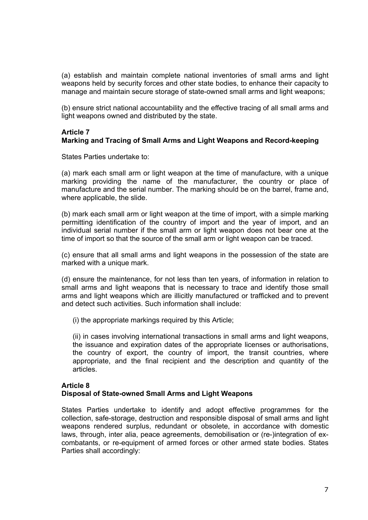(a) establish and maintain complete national inventories of small arms and light weapons held by security forces and other state bodies, to enhance their capacity to manage and maintain secure storage of state-owned small arms and light weapons;

(b) ensure strict national accountability and the effective tracing of all small arms and light weapons owned and distributed by the state.

# **Article 7**

### **Marking and Tracing of Small Arms and Light Weapons and Record-keeping**

States Parties undertake to:

(a) mark each small arm or light weapon at the time of manufacture, with a unique marking providing the name of the manufacturer, the country or place of manufacture and the serial number. The marking should be on the barrel, frame and, where applicable, the slide.

(b) mark each small arm or light weapon at the time of import, with a simple marking permitting identification of the country of import and the year of import, and an individual serial number if the small arm or light weapon does not bear one at the time of import so that the source of the small arm or light weapon can be traced.

(c) ensure that all small arms and light weapons in the possession of the state are marked with a unique mark.

(d) ensure the maintenance, for not less than ten years, of information in relation to small arms and light weapons that is necessary to trace and identify those small arms and light weapons which are illicitly manufactured or trafficked and to prevent and detect such activities. Such information shall include:

(i) the appropriate markings required by this Article;

(ii) in cases involving international transactions in small arms and light weapons, the issuance and expiration dates of the appropriate licenses or authorisations, the country of export, the country of import, the transit countries, where appropriate, and the final recipient and the description and quantity of the articles.

### **Article 8**

### **Disposal of State-owned Small Arms and Light Weapons**

States Parties undertake to identify and adopt effective programmes for the collection, safe-storage, destruction and responsible disposal of small arms and light weapons rendered surplus, redundant or obsolete, in accordance with domestic laws, through, inter alia, peace agreements, demobilisation or (re-)integration of excombatants, or re-equipment of armed forces or other armed state bodies. States Parties shall accordingly: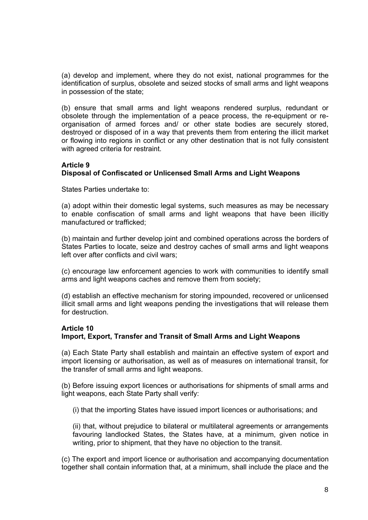(a) develop and implement, where they do not exist, national programmes for the identification of surplus, obsolete and seized stocks of small arms and light weapons in possession of the state;

(b) ensure that small arms and light weapons rendered surplus, redundant or obsolete through the implementation of a peace process, the re-equipment or reorganisation of armed forces and/ or other state bodies are securely stored, destroyed or disposed of in a way that prevents them from entering the illicit market or flowing into regions in conflict or any other destination that is not fully consistent with agreed criteria for restraint.

### **Article 9**

## **Disposal of Confiscated or Unlicensed Small Arms and Light Weapons**

States Parties undertake to:

(a) adopt within their domestic legal systems, such measures as may be necessary to enable confiscation of small arms and light weapons that have been illicitly manufactured or trafficked;

(b) maintain and further develop joint and combined operations across the borders of States Parties to locate, seize and destroy caches of small arms and light weapons left over after conflicts and civil wars;

(c) encourage law enforcement agencies to work with communities to identify small arms and light weapons caches and remove them from society;

(d) establish an effective mechanism for storing impounded, recovered or unlicensed illicit small arms and light weapons pending the investigations that will release them for destruction.

### **Article 10**

# **Import, Export, Transfer and Transit of Small Arms and Light Weapons**

(a) Each State Party shall establish and maintain an effective system of export and import licensing or authorisation, as well as of measures on international transit, for the transfer of small arms and light weapons.

(b) Before issuing export licences or authorisations for shipments of small arms and light weapons, each State Party shall verify:

(i) that the importing States have issued import licences or authorisations; and

(ii) that, without prejudice to bilateral or multilateral agreements or arrangements favouring landlocked States, the States have, at a minimum, given notice in writing, prior to shipment, that they have no objection to the transit.

(c) The export and import licence or authorisation and accompanying documentation together shall contain information that, at a minimum, shall include the place and the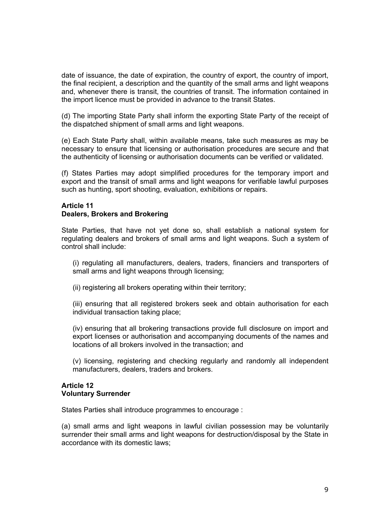date of issuance, the date of expiration, the country of export, the country of import, the final recipient, a description and the quantity of the small arms and light weapons and, whenever there is transit, the countries of transit. The information contained in the import licence must be provided in advance to the transit States.

(d) The importing State Party shall inform the exporting State Party of the receipt of the dispatched shipment of small arms and light weapons.

(e) Each State Party shall, within available means, take such measures as may be necessary to ensure that licensing or authorisation procedures are secure and that the authenticity of licensing or authorisation documents can be verified or validated.

(f) States Parties may adopt simplified procedures for the temporary import and export and the transit of small arms and light weapons for verifiable lawful purposes such as hunting, sport shooting, evaluation, exhibitions or repairs.

## **Article 11 Dealers, Brokers and Brokering**

State Parties, that have not yet done so, shall establish a national system for regulating dealers and brokers of small arms and light weapons. Such a system of control shall include:

(i) regulating all manufacturers, dealers, traders, financiers and transporters of small arms and light weapons through licensing;

(ii) registering all brokers operating within their territory;

(iii) ensuring that all registered brokers seek and obtain authorisation for each individual transaction taking place;

(iv) ensuring that all brokering transactions provide full disclosure on import and export licenses or authorisation and accompanying documents of the names and locations of all brokers involved in the transaction; and

(v) licensing, registering and checking regularly and randomly all independent manufacturers, dealers, traders and brokers.

#### **Article 12 Voluntary Surrender**

States Parties shall introduce programmes to encourage :

(a) small arms and light weapons in lawful civilian possession may be voluntarily surrender their small arms and light weapons for destruction/disposal by the State in accordance with its domestic laws;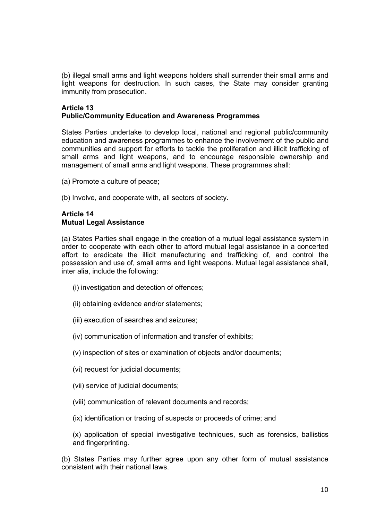(b) illegal small arms and light weapons holders shall surrender their small arms and light weapons for destruction. In such cases, the State may consider granting immunity from prosecution.

# **Article 13 Public/Community Education and Awareness Programmes**

States Parties undertake to develop local, national and regional public/community education and awareness programmes to enhance the involvement of the public and communities and support for efforts to tackle the proliferation and illicit trafficking of small arms and light weapons, and to encourage responsible ownership and management of small arms and light weapons. These programmes shall:

- (a) Promote a culture of peace;
- (b) Involve, and cooperate with, all sectors of society.

## **Article 14 Mutual Legal Assistance**

(a) States Parties shall engage in the creation of a mutual legal assistance system in order to cooperate with each other to afford mutual legal assistance in a concerted effort to eradicate the illicit manufacturing and trafficking of, and control the possession and use of, small arms and light weapons. Mutual legal assistance shall, inter alia, include the following:

- (i) investigation and detection of offences;
- (ii) obtaining evidence and/or statements;
- (iii) execution of searches and seizures;
- (iv) communication of information and transfer of exhibits;
- (v) inspection of sites or examination of objects and/or documents;
- (vi) request for judicial documents;
- (vii) service of judicial documents;
- (viii) communication of relevant documents and records;
- (ix) identification or tracing of suspects or proceeds of crime; and
- (x) application of special investigative techniques, such as forensics, ballistics and fingerprinting.

(b) States Parties may further agree upon any other form of mutual assistance consistent with their national laws.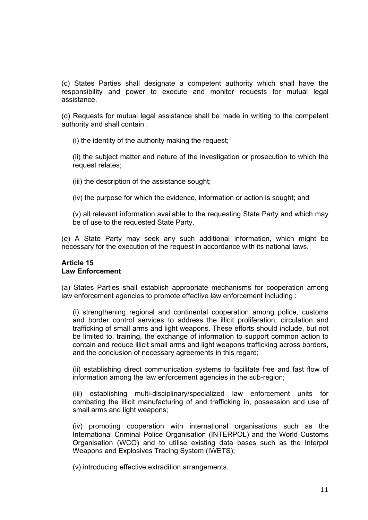(c) States Parties shall designate a competent authority which shall have the responsibility and power to execute and monitor requests for mutual legal assistance.

(d) Requests for mutual legal assistance shall be made in writing to the competent authority and shall contain :

(i) the identity of the authority making the request;

(ii) the subject matter and nature of the investigation or prosecution to which the request relates;

(iii) the description of the assistance sought;

(iv) the purpose for which the evidence, information or action is sought; and

(v) all relevant information available to the requesting State Party and which may be of use to the requested State Party.

(e) A State Party may seek any such additional information, which might be necessary for the execution of the request in accordance with its national laws.

#### **Article 15 Law Enforcement**

(a) States Parties shall establish appropriate mechanisms for cooperation among law enforcement agencies to promote effective law enforcement including :

(i) strengthening regional and continental cooperation among police, customs and border control services to address the illicit proliferation, circulation and trafficking of small arms and light weapons. These efforts should include, but not be limited to, training, the exchange of information to support common action to contain and reduce illicit small arms and light weapons trafficking across borders, and the conclusion of necessary agreements in this regard;

(ii) establishing direct communication systems to facilitate free and fast flow of information among the law enforcement agencies in the sub-region;

(iii) establishing multi-disciplinary/specialized law enforcement units for combating the illicit manufacturing of and trafficking in, possession and use of small arms and light weapons;

(iv) promoting cooperation with international organisations such as the International Criminal Police Organisation (INTERPOL) and the World Customs Organisation (WCO) and to utilise existing data bases such as the Interpol Weapons and Explosives Tracing System (IWETS);

(v) introducing effective extradition arrangements.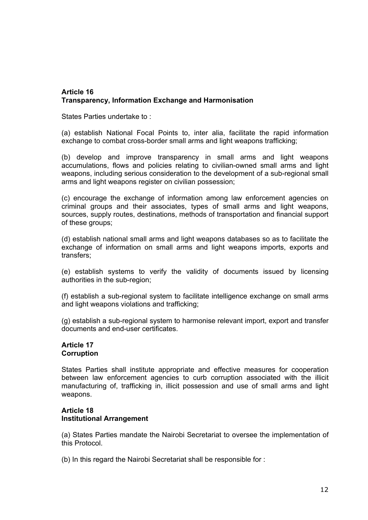# **Article 16 Transparency, Information Exchange and Harmonisation**

States Parties undertake to :

(a) establish National Focal Points to, inter alia, facilitate the rapid information exchange to combat cross-border small arms and light weapons trafficking;

(b) develop and improve transparency in small arms and light weapons accumulations, flows and policies relating to civilian-owned small arms and light weapons, including serious consideration to the development of a sub-regional small arms and light weapons register on civilian possession;

(c) encourage the exchange of information among law enforcement agencies on criminal groups and their associates, types of small arms and light weapons, sources, supply routes, destinations, methods of transportation and financial support of these groups;

(d) establish national small arms and light weapons databases so as to facilitate the exchange of information on small arms and light weapons imports, exports and transfers;

(e) establish systems to verify the validity of documents issued by licensing authorities in the sub-region;

(f) establish a sub-regional system to facilitate intelligence exchange on small arms and light weapons violations and trafficking;

(g) establish a sub-regional system to harmonise relevant import, export and transfer documents and end-user certificates.

### **Article 17 Corruption**

States Parties shall institute appropriate and effective measures for cooperation between law enforcement agencies to curb corruption associated with the illicit manufacturing of, trafficking in, illicit possession and use of small arms and light weapons.

## **Article 18 Institutional Arrangement**

(a) States Parties mandate the Nairobi Secretariat to oversee the implementation of this Protocol.

(b) In this regard the Nairobi Secretariat shall be responsible for :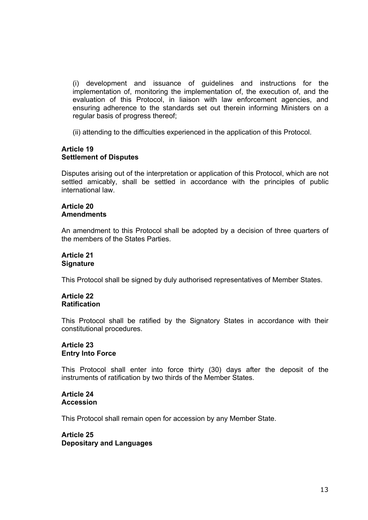(i) development and issuance of guidelines and instructions for the implementation of, monitoring the implementation of, the execution of, and the evaluation of this Protocol, in liaison with law enforcement agencies, and ensuring adherence to the standards set out therein informing Ministers on a regular basis of progress thereof;

(ii) attending to the difficulties experienced in the application of this Protocol.

#### **Article 19 Settlement of Disputes**

Disputes arising out of the interpretation or application of this Protocol, which are not settled amicably, shall be settled in accordance with the principles of public international law.

#### **Article 20 Amendments**

An amendment to this Protocol shall be adopted by a decision of three quarters of the members of the States Parties.

#### **Article 21 Signature**

This Protocol shall be signed by duly authorised representatives of Member States.

### **Article 22 Ratification**

This Protocol shall be ratified by the Signatory States in accordance with their constitutional procedures.

### **Article 23 Entry Into Force**

This Protocol shall enter into force thirty (30) days after the deposit of the instruments of ratification by two thirds of the Member States.

#### **Article 24 Accession**

This Protocol shall remain open for accession by any Member State.

### **Article 25 Depositary and Languages**